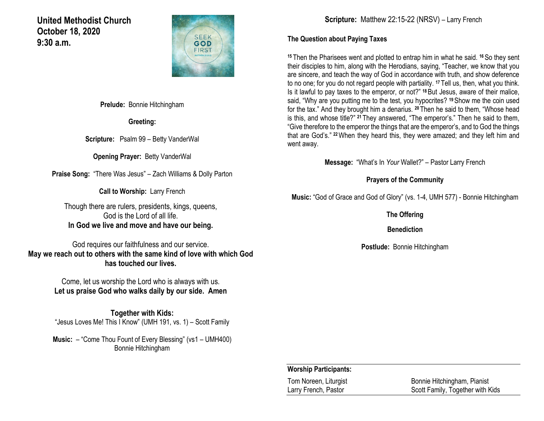**United Methodist Church October 18, 2020 9:30 a.m.** 



**Prelude:** Bonnie Hitchingham

**Greeting:**

**Scripture:** Psalm 99 – Betty VanderWal

**Opening Prayer:** Betty VanderWal

**Praise Song:** "There Was Jesus" – Zach Williams & Dolly Parton

**Call to Worship:** Larry French

Though there are rulers, presidents, kings, queens, God is the Lord of all life. **In God we live and move and have our being.**

God requires our faithfulness and our service. **May we reach out to others with the same kind of love with which God has touched our lives.**

> Come, let us worship the Lord who is always with us. **Let us praise God who walks daily by our side. Amen**

**Together with Kids:** "Jesus Loves Me! This I Know" (UMH 191, vs. 1) – Scott Family

**Music:** – "Come Thou Fount of Every Blessing" (vs1 – UMH400) Bonnie Hitchingham

**Scripture:** Matthew 22:15-22 (NRSV) – Larry French

### **The Question about Paying Taxes**

**<sup>15</sup>** Then the Pharisees went and plotted to entrap him in what he said. **<sup>16</sup>**So they sent their disciples to him, along with the Herodians, saying, "Teacher, we know that you are sincere, and teach the way of God in accordance with truth, and show deference to no one; for you do not regard people with partiality. **<sup>17</sup>** Tell us, then, what you think. Is it lawful to pay taxes to the emperor, or not?" **<sup>18</sup>**But Jesus, aware of their malice, said, "Why are you putting me to the test, you hypocrites? **<sup>19</sup>**Show me the coin used for the tax." And they brought him a denarius. **<sup>20</sup>** Then he said to them, "Whose head is this, and whose title?" **<sup>21</sup>** They answered, "The emperor's." Then he said to them, "Give therefore to the emperor the things that are the emperor's, and to God the things that are God's." **<sup>22</sup>**When they heard this, they were amazed; and they left him and went away.

**Message:** "What's In *Your* Wallet?" – Pastor Larry French

### **Prayers of the Community**

**Music:** "God of Grace and God of Glory" (vs. 1-4, UMH 577) - Bonnie Hitchingham

**The Offering**

**Benediction**

**Postlude:** Bonnie Hitchingham

### **Worship Participants:**

Tom Noreen, Liturgist **Bonnie Hitchingham, Pianist** Larry French, Pastor Scott Family, Together with Kids